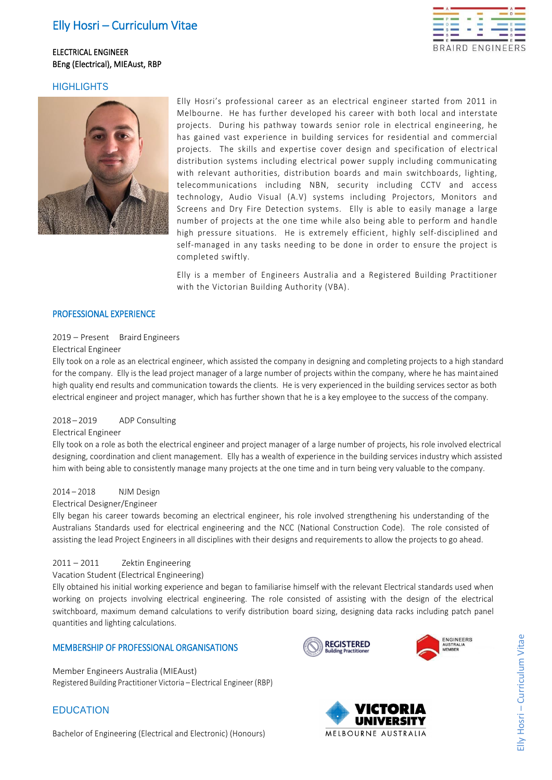# Elly Hosri – Curriculum Vitae

# ELECTRICAL ENGINEER BEng (Electrical), MIEAust, RBP



# **HIGHLIGHTS**



Elly Hosri's professional career as an electrical engineer started from 2011 in Melbourne. He has further developed his career with both local and interstate projects. During his pathway towards senior role in electrical engineering, he has gained vast experience in building services for residential and commercial projects. The skills and expertise cover design and specification of electrical distribution systems including electrical power supply including communicating with relevant authorities, distribution boards and main switchboards, lighting, telecommunications including NBN, security including CCTV and access technology, Audio Visual (A.V) systems including Projectors, Monitors and Screens and Dry Fire Detection systems. Elly is able to easily manage a large number of projects at the one time while also being able to perform and handle high pressure situations. He is extremely efficient, highly self-disciplined and self-managed in any tasks needing to be done in order to ensure the project is completed swiftly.

Elly is a member of Engineers Australia and a Registered Building Practitioner with the Victorian Building Authority (VBA).

### PROFESSIONAL EXPERIENCE

### 2019 – Present Braird Engineers

#### Electrical Engineer

Elly took on a role as an electrical engineer, which assisted the company in designing and completing projects to a high standard for the company. Elly is the lead project manager of a large number of projects within the company, where he has maintained high quality end results and communication towards the clients. He is very experienced in the building services sector as both electrical engineer and project manager, which has further shown that he is a key employee to the success of the company.

### 2018 – 2019 ADP Consulting

#### Electrical Engineer

Elly took on a role as both the electrical engineer and project manager of a large number of projects, his role involved electrical designing, coordination and client management. Elly has a wealth of experience in the building services industry which assisted him with being able to consistently manage many projects at the one time and in turn being very valuable to the company.

# 2014 – 2018 NJM Design

#### Electrical Designer/Engineer

Elly began his career towards becoming an electrical engineer, his role involved strengthening his understanding of the Australians Standards used for electrical engineering and the NCC (National Construction Code). The role consisted of assisting the lead Project Engineers in all disciplines with their designs and requirements to allow the projects to go ahead.

### 2011 – 2011 Zektin Engineering

Vacation Student (Electrical Engineering)

Elly obtained his initial working experience and began to familiarise himself with the relevant Electrical standards used when working on projects involving electrical engineering. The role consisted of assisting with the design of the electrical switchboard, maximum demand calculations to verify distribution board sizing, designing data racks including patch panel quantities and lighting calculations.

### MEMBERSHIP OF PROFESSIONAL ORGANISATIONS

Member Engineers Australia (MIEAust) Registered Building Practitioner Victoria – Electrical Engineer (RBP)

# **EDUCATION**

Bachelor of Engineering (Electrical and Electronic) (Honours)